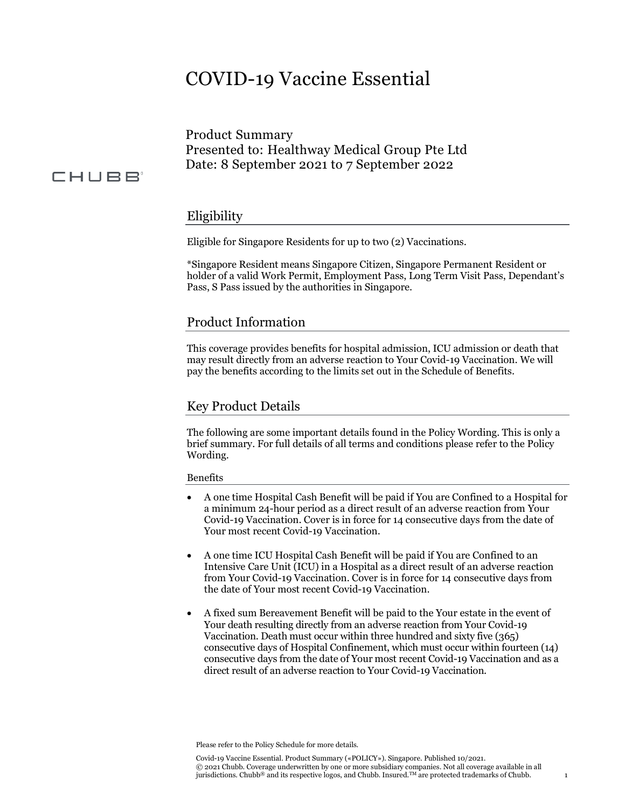# COVID-19 Vaccine Essential

Product Summary Presented to: Healthway Medical Group Pte Ltd Date: 8 September 2021 to 7 September 2022

# CHUBB<sup>®</sup>

# Eligibility

Eligible for Singapore Residents for up to two (2) Vaccinations.

\*Singapore Resident means Singapore Citizen, Singapore Permanent Resident or holder of a valid Work Permit, Employment Pass, Long Term Visit Pass, Dependant's Pass, S Pass issued by the authorities in Singapore.

## Product Information

This coverage provides benefits for hospital admission, ICU admission or death that may result directly from an adverse reaction to Your Covid-19 Vaccination. We will pay the benefits according to the limits set out in the Schedule of Benefits.

### Key Product Details

The following are some important details found in the Policy Wording. This is only a brief summary. For full details of all terms and conditions please refer to the Policy Wording.

#### Benefits

- A one time Hospital Cash Benefit will be paid if You are Confined to a Hospital for a minimum 24-hour period as a direct result of an adverse reaction from Your Covid-19 Vaccination. Cover is in force for 14 consecutive days from the date of Your most recent Covid-19 Vaccination.
- A one time ICU Hospital Cash Benefit will be paid if You are Confined to an Intensive Care Unit (ICU) in a Hospital as a direct result of an adverse reaction from Your Covid-19 Vaccination. Cover is in force for 14 consecutive days from the date of Your most recent Covid-19 Vaccination.
- A fixed sum Bereavement Benefit will be paid to the Your estate in the event of Your death resulting directly from an adverse reaction from Your Covid-19 Vaccination. Death must occur within three hundred and sixty five (365) consecutive days of Hospital Confinement, which must occur within fourteen (14) consecutive days from the date of Your most recent Covid-19 Vaccination and as a direct result of an adverse reaction to Your Covid-19 Vaccination.

Please refer to the Policy Schedule for more details.